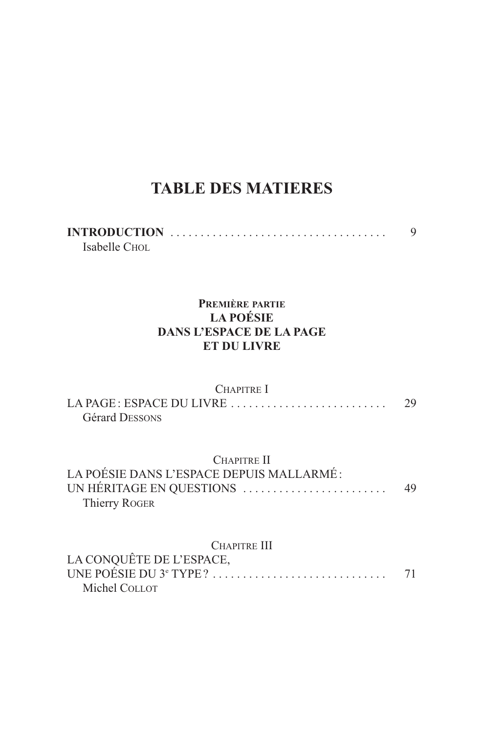## **TABLE DES MATIERES**

| Isabelle Chol. |  |  |  |  |  |  |  |  |  |  |  |  |  |  |  |
|----------------|--|--|--|--|--|--|--|--|--|--|--|--|--|--|--|

## PREMIÈRE PARTIE **LA POÉSIE DANS L'ESPACE DE LA PAGE ET DU LIVRE**

| <b>CHAPITRE</b> I<br><b>Gérard DESSONS</b>                                                                  | 29 |
|-------------------------------------------------------------------------------------------------------------|----|
| CHAPITRE II<br>LA POÉSIE DANS L'ESPACE DEPUIS MALLARMÉ:<br>UN HÉRITAGE EN QUESTIONS<br><b>Thierry ROGER</b> | 49 |
| <b>CHAPITRE III</b><br>LA CONQUÊTE DE L'ESPACE,<br>UNE POÉSIE DU 3 <sup>e</sup> TYPE?<br>Michel COLLOT      | 71 |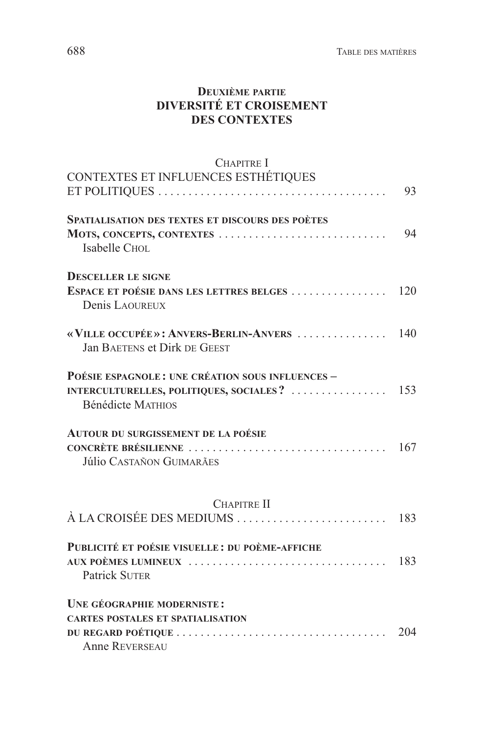## **DEUXIÈME PARTIE DIVERSITÉ ET CROISEMENT DES CONTEXTES**

| <b>CHAPITRE I</b>                                                            |     |
|------------------------------------------------------------------------------|-----|
| CONTEXTES ET INFLUENCES ESTHÉTIQUES                                          |     |
|                                                                              | 93  |
| <b>SPATIALISATION DES TEXTES ET DISCOURS DES POÈTES</b>                      |     |
| MOTS, CONCEPTS, CONTEXTES<br>Isabelle CHOL                                   | 94  |
| <b>DESCELLER LE SIGNE</b>                                                    |     |
| ESPACE ET POÉSIE DANS LES LETTRES BELGES<br>Denis LAQUREUX                   | 120 |
| «VILLE OCCUPÉE»: ANVERS-BERLIN-ANVERS<br><b>Jan BAETENS et Dirk DE GEEST</b> | 140 |
| POÉSIE ESPAGNOLE: UNE CRÉATION SOUS INFLUENCES -                             |     |
| <b>Bénédicte MATHIOS</b>                                                     |     |
| AUTOUR DU SURGISSEMENT DE LA POÉSIE                                          |     |
|                                                                              | 167 |
| <b>Júlio CASTAÑON GUIMARÃES</b>                                              |     |
| <b>CHAPITRE II</b>                                                           |     |
| À LA CROISÉE DES MEDIUMS                                                     | 183 |
| PUBLICITÉ ET POÉSIE VISUELLE : DU POÈME-AFFICHE                              |     |
| AUX POÈMES LUMINEUX                                                          | 183 |
| <b>Patrick SUTER</b>                                                         |     |
| UNE GÉOGRAPHIE MODERNISTE:                                                   |     |
| <b>CARTES POSTALES ET SPATIALISATION</b>                                     |     |
|                                                                              | 204 |
| <b>Anne REVERSEAU</b>                                                        |     |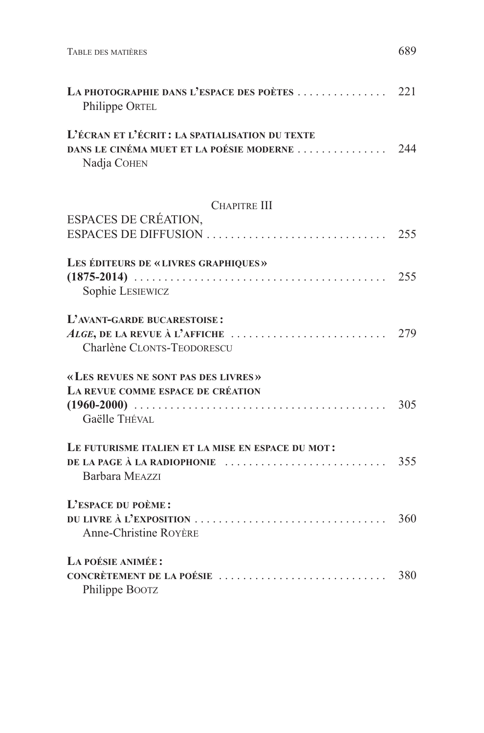| LA PHOTOGRAPHIE DANS L'ESPACE DES POÈTES  221<br>Philippe ORTEL                                                 |     |
|-----------------------------------------------------------------------------------------------------------------|-----|
| L'ÉCRAN ET L'ÉCRIT : LA SPATIALISATION DU TEXTE<br>DANS LE CINÉMA MUET ET LA POÉSIE MODERNE  244<br>Nadja COHEN |     |
| <b>CHAPITRE III</b>                                                                                             |     |
| ESPACES DE CRÉATION,                                                                                            |     |
|                                                                                                                 |     |
| LES ÉDITEURS DE «LIVRES GRAPHIQUES»                                                                             |     |
|                                                                                                                 |     |
| Sophie LESIEWICZ                                                                                                |     |
| L'AVANT-GARDE BUCARESTOISE :                                                                                    |     |
| ALGE, DE LA REVUE À L'AFFICHE $\ldots \ldots \ldots \ldots \ldots \ldots \ldots$ 279                            |     |
| Charlène CLONTS-TEODORESCU                                                                                      |     |
| «LES REVUES NE SONT PAS DES LIVRES»                                                                             |     |
| LA REVUE COMME ESPACE DE CRÉATION                                                                               |     |
|                                                                                                                 | 305 |
| Gaëlle THÉVAL                                                                                                   |     |
| LE FUTURISME ITALIEN ET LA MISE EN ESPACE DU MOT:                                                               |     |
| DE LA PAGE À LA RADIOPHONIE                                                                                     | 355 |
| Barbara MEAZZI                                                                                                  |     |
| L'ESPACE DU POÈME:                                                                                              |     |
|                                                                                                                 |     |
| <b>Anne-Christine ROYÈRE</b>                                                                                    |     |
| LA POÉSIE ANIMÉE :                                                                                              |     |
|                                                                                                                 |     |
| Philippe BOOTZ                                                                                                  |     |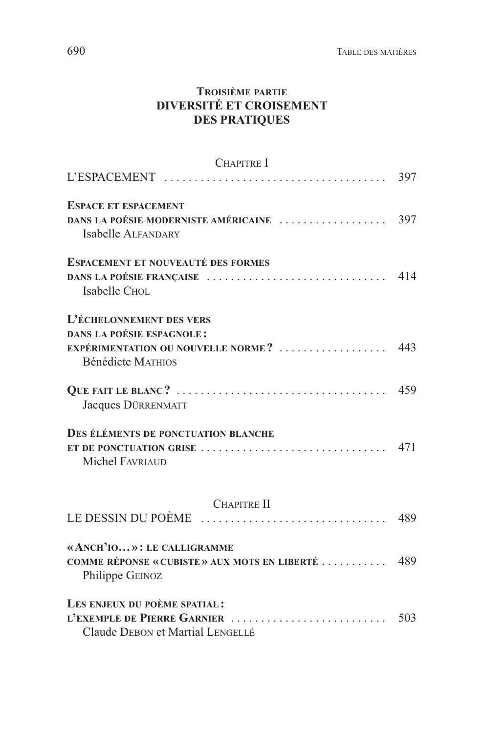## **TROISIÈME PARTIE DIVERSITÉ ET CROISEMENT DES PRATIQUES**

| CHAPITRE I                                                                                                                                             |     |
|--------------------------------------------------------------------------------------------------------------------------------------------------------|-----|
|                                                                                                                                                        | 397 |
| <b>ESPACE ET ESPACEMENT</b><br><b>Isabelle ALFANDARY</b>                                                                                               |     |
| <b>ESPACEMENT ET NOUVEAUTÉ DES FORMES</b><br>DANS LA POÉSIE FRANÇAISE<br><b>Isabelle CHOL</b>                                                          | 414 |
| L'ÉCHELONNEMENT DES VERS                                                                                                                               |     |
| <b>DANS LA POÉSIE ESPAGNOLE:</b><br>EXPÉRIMENTATION OU NOUVELLE NORME?  443<br>Bénédicte MATHIOS                                                       |     |
| Jacques DÜRRENMATT                                                                                                                                     | 459 |
| DES ÉLÉMENTS DE PONCTUATION BLANCHE<br><b>Michel FAVRIAUD</b>                                                                                          |     |
| <b>CHAPITRE II</b>                                                                                                                                     |     |
| LE DESSIN DU POÈME                                                                                                                                     | 489 |
| «ANCH'IO»: LE CALLIGRAMME<br>COMME RÉPONSE « CUBISTE » AUX MOTS EN LIBERTÉ  489<br>Philippe GEINOZ                                                     |     |
| LES ENJEUX DU POÈME SPATIAL:<br>L'EXEMPLE DE PIERRE GARNIER $\ldots \ldots \ldots \ldots \ldots \ldots \ldots$ 503<br>Claude DEBON et Martial LENGELLÉ |     |